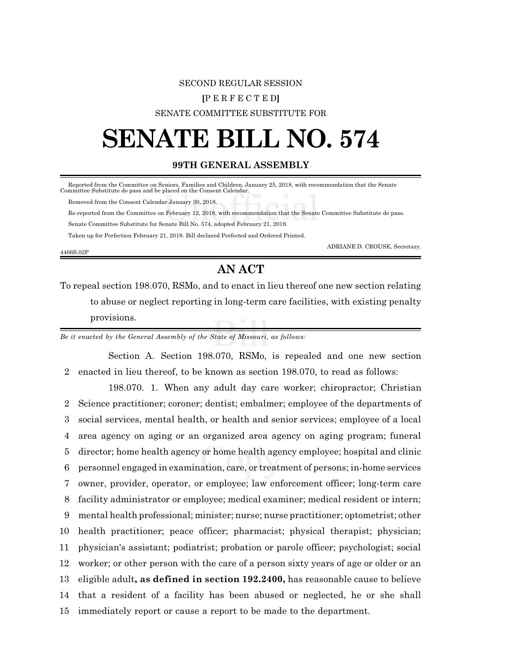# SECOND REGULAR SESSION **[**P E R F E C T E D**]** SENATE COMMITTEE SUBSTITUTE FOR

# **SENATE BILL NO. 574**

### **99TH GENERAL ASSEMBLY**

Reported from the Committee on Seniors, Families and Children, January 25, 2018, with recommendation that the Senate Committee Substitute do pass and be placed on the Consent Calendar.

Removed from the Consent Calendar January 30, 2018.

Re-reported from the Committee on February 12, 2018, with recommendation that the Senate Committee Substitute do pass.

Senate Committee Substitute for Senate Bill No. 574, adopted February 21, 2018.

Taken up for Perfection February 21, 2018. Bill declared Perfected and Ordered Printed.

ADRIANE D. CROUSE, Secretary.

#### 4466S.02P

## **AN ACT**

To repeal section 198.070, RSMo, and to enact in lieu thereof one new section relating to abuse or neglect reporting in long-term care facilities, with existing penalty provisions.

*Be it enacted by the General Assembly of the State of Missouri, as follows:*

Section A. Section 198.070, RSMo, is repealed and one new section 2 enacted in lieu thereof, to be known as section 198.070, to read as follows:

198.070. 1. When any adult day care worker; chiropractor; Christian Science practitioner; coroner; dentist; embalmer; employee of the departments of social services, mental health, or health and senior services; employee of a local area agency on aging or an organized area agency on aging program; funeral director; home health agency or home health agency employee; hospital and clinic personnel engaged in examination, care, or treatment of persons; in-home services owner, provider, operator, or employee; law enforcement officer; long-term care facility administrator or employee; medical examiner; medical resident or intern; mental health professional; minister; nurse; nurse practitioner; optometrist; other health practitioner; peace officer; pharmacist; physical therapist; physician; physician's assistant; podiatrist; probation or parole officer; psychologist; social worker; or other person with the care of a person sixty years of age or older or an eligible adult**, as defined in section 192.2400,** has reasonable cause to believe that a resident of a facility has been abused or neglected, he or she shall immediately report or cause a report to be made to the department.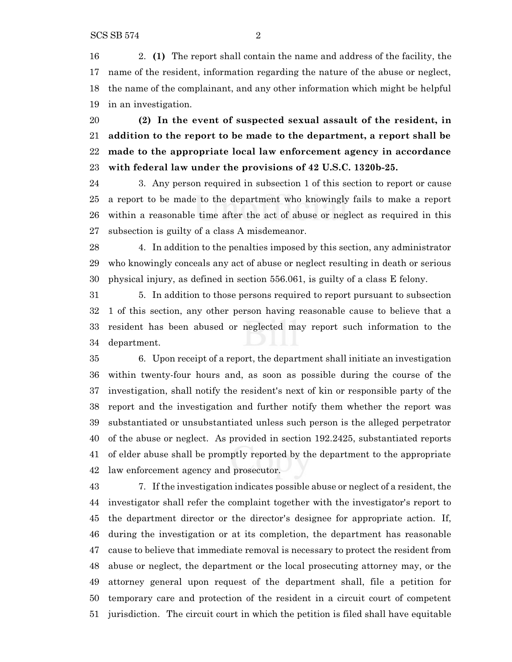2. **(1)** The report shall contain the name and address of the facility, the name of the resident, information regarding the nature of the abuse or neglect, the name of the complainant, and any other information which might be helpful in an investigation.

 **(2) In the event of suspected sexual assault of the resident, in addition to the report to be made to the department, a report shall be made to the appropriate local law enforcement agency in accordance with federal law under the provisions of 42 U.S.C. 1320b-25.**

 3. Any person required in subsection 1 of this section to report or cause a report to be made to the department who knowingly fails to make a report within a reasonable time after the act of abuse or neglect as required in this subsection is guilty of a class A misdemeanor.

 4. In addition to the penalties imposed by this section, any administrator who knowingly conceals any act of abuse or neglect resulting in death or serious physical injury, as defined in section 556.061, is guilty of a class E felony.

 5. In addition to those persons required to report pursuant to subsection 1 of this section, any other person having reasonable cause to believe that a resident has been abused or neglected may report such information to the department.

 6. Upon receipt of a report, the department shall initiate an investigation within twenty-four hours and, as soon as possible during the course of the investigation, shall notify the resident's next of kin or responsible party of the report and the investigation and further notify them whether the report was substantiated or unsubstantiated unless such person is the alleged perpetrator of the abuse or neglect. As provided in section 192.2425, substantiated reports of elder abuse shall be promptly reported by the department to the appropriate law enforcement agency and prosecutor.

 7. If the investigation indicates possible abuse or neglect of a resident, the investigator shall refer the complaint together with the investigator's report to the department director or the director's designee for appropriate action. If, during the investigation or at its completion, the department has reasonable cause to believe that immediate removal is necessary to protect the resident from abuse or neglect, the department or the local prosecuting attorney may, or the attorney general upon request of the department shall, file a petition for temporary care and protection of the resident in a circuit court of competent jurisdiction. The circuit court in which the petition is filed shall have equitable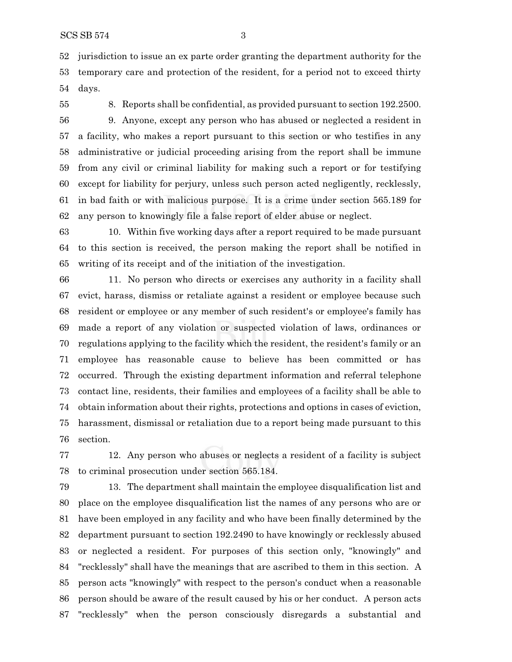jurisdiction to issue an ex parte order granting the department authority for the temporary care and protection of the resident, for a period not to exceed thirty days.

8. Reports shall be confidential, as provided pursuant to section 192.2500.

 9. Anyone, except any person who has abused or neglected a resident in a facility, who makes a report pursuant to this section or who testifies in any administrative or judicial proceeding arising from the report shall be immune from any civil or criminal liability for making such a report or for testifying except for liability for perjury, unless such person acted negligently, recklessly, in bad faith or with malicious purpose. It is a crime under section 565.189 for any person to knowingly file a false report of elder abuse or neglect.

 10. Within five working days after a report required to be made pursuant to this section is received, the person making the report shall be notified in writing of its receipt and of the initiation of the investigation.

 11. No person who directs or exercises any authority in a facility shall evict, harass, dismiss or retaliate against a resident or employee because such resident or employee or any member of such resident's or employee's family has made a report of any violation or suspected violation of laws, ordinances or regulations applying to the facility which the resident, the resident's family or an employee has reasonable cause to believe has been committed or has occurred. Through the existing department information and referral telephone contact line, residents, their families and employees of a facility shall be able to obtain information about their rights, protections and options in cases of eviction, harassment, dismissal or retaliation due to a report being made pursuant to this section.

 12. Any person who abuses or neglects a resident of a facility is subject to criminal prosecution under section 565.184.

 13. The department shall maintain the employee disqualification list and place on the employee disqualification list the names of any persons who are or have been employed in any facility and who have been finally determined by the department pursuant to section 192.2490 to have knowingly or recklessly abused or neglected a resident. For purposes of this section only, "knowingly" and "recklessly" shall have the meanings that are ascribed to them in this section. A person acts "knowingly" with respect to the person's conduct when a reasonable person should be aware of the result caused by his or her conduct. A person acts "recklessly" when the person consciously disregards a substantial and